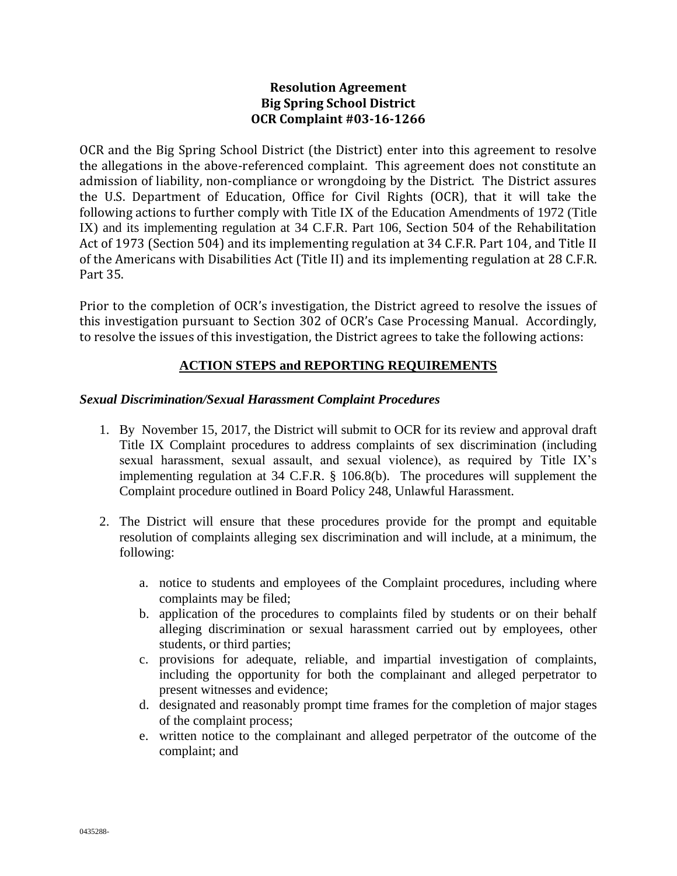### **Resolution Agreement Big Spring School District OCR Complaint #03-16-1266**

OCR and the Big Spring School District (the District) enter into this agreement to resolve the allegations in the above-referenced complaint. This agreement does not constitute an admission of liability, non-compliance or wrongdoing by the District. The District assures the U.S. Department of Education, Office for Civil Rights (OCR), that it will take the following actions to further comply with Title IX of the Education Amendments of 1972 (Title IX) and its implementing regulation at 34 C.F.R. Part 106, Section 504 of the Rehabilitation Act of 1973 (Section 504) and its implementing regulation at 34 C.F.R. Part 104, and Title II of the Americans with Disabilities Act (Title II) and its implementing regulation at 28 C.F.R. Part 35.

Prior to the completion of OCR's investigation, the District agreed to resolve the issues of this investigation pursuant to Section 302 of OCR's Case Processing Manual. Accordingly, to resolve the issues of this investigation, the District agrees to take the following actions:

# **ACTION STEPS and REPORTING REQUIREMENTS**

#### *Sexual Discrimination/Sexual Harassment Complaint Procedures*

- 1. By November 15, 2017, the District will submit to OCR for its review and approval draft Title IX Complaint procedures to address complaints of sex discrimination (including sexual harassment, sexual assault, and sexual violence), as required by Title IX's implementing regulation at 34 C.F.R. § 106.8(b). The procedures will supplement the Complaint procedure outlined in Board Policy 248, Unlawful Harassment.
- 2. The District will ensure that these procedures provide for the prompt and equitable resolution of complaints alleging sex discrimination and will include, at a minimum, the following:
	- a. notice to students and employees of the Complaint procedures, including where complaints may be filed;
	- b. application of the procedures to complaints filed by students or on their behalf alleging discrimination or sexual harassment carried out by employees, other students, or third parties;
	- c. provisions for adequate, reliable, and impartial investigation of complaints, including the opportunity for both the complainant and alleged perpetrator to present witnesses and evidence;
	- d. designated and reasonably prompt time frames for the completion of major stages of the complaint process;
	- e. written notice to the complainant and alleged perpetrator of the outcome of the complaint; and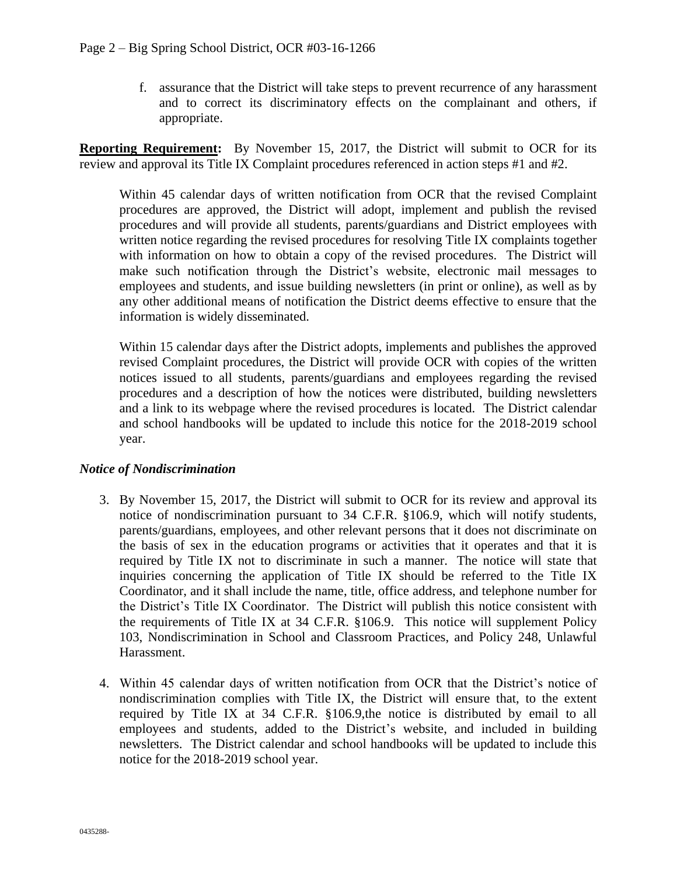f. assurance that the District will take steps to prevent recurrence of any harassment and to correct its discriminatory effects on the complainant and others, if appropriate.

**Reporting Requirement:** By November 15, 2017, the District will submit to OCR for its review and approval its Title IX Complaint procedures referenced in action steps #1 and #2.

Within 45 calendar days of written notification from OCR that the revised Complaint procedures are approved, the District will adopt, implement and publish the revised procedures and will provide all students, parents/guardians and District employees with written notice regarding the revised procedures for resolving Title IX complaints together with information on how to obtain a copy of the revised procedures. The District will make such notification through the District's website, electronic mail messages to employees and students, and issue building newsletters (in print or online), as well as by any other additional means of notification the District deems effective to ensure that the information is widely disseminated.

Within 15 calendar days after the District adopts, implements and publishes the approved revised Complaint procedures, the District will provide OCR with copies of the written notices issued to all students, parents/guardians and employees regarding the revised procedures and a description of how the notices were distributed, building newsletters and a link to its webpage where the revised procedures is located. The District calendar and school handbooks will be updated to include this notice for the 2018-2019 school year.

#### *Notice of Nondiscrimination*

- 3. By November 15, 2017, the District will submit to OCR for its review and approval its notice of nondiscrimination pursuant to 34 C.F.R. §106.9, which will notify students, parents/guardians, employees, and other relevant persons that it does not discriminate on the basis of sex in the education programs or activities that it operates and that it is required by Title IX not to discriminate in such a manner. The notice will state that inquiries concerning the application of Title IX should be referred to the Title IX Coordinator, and it shall include the name, title, office address, and telephone number for the District's Title IX Coordinator. The District will publish this notice consistent with the requirements of Title IX at 34 C.F.R. §106.9. This notice will supplement Policy 103, Nondiscrimination in School and Classroom Practices, and Policy 248, Unlawful Harassment.
- 4. Within 45 calendar days of written notification from OCR that the District's notice of nondiscrimination complies with Title IX, the District will ensure that, to the extent required by Title IX at 34 C.F.R. §106.9,the notice is distributed by email to all employees and students, added to the District's website, and included in building newsletters. The District calendar and school handbooks will be updated to include this notice for the 2018-2019 school year.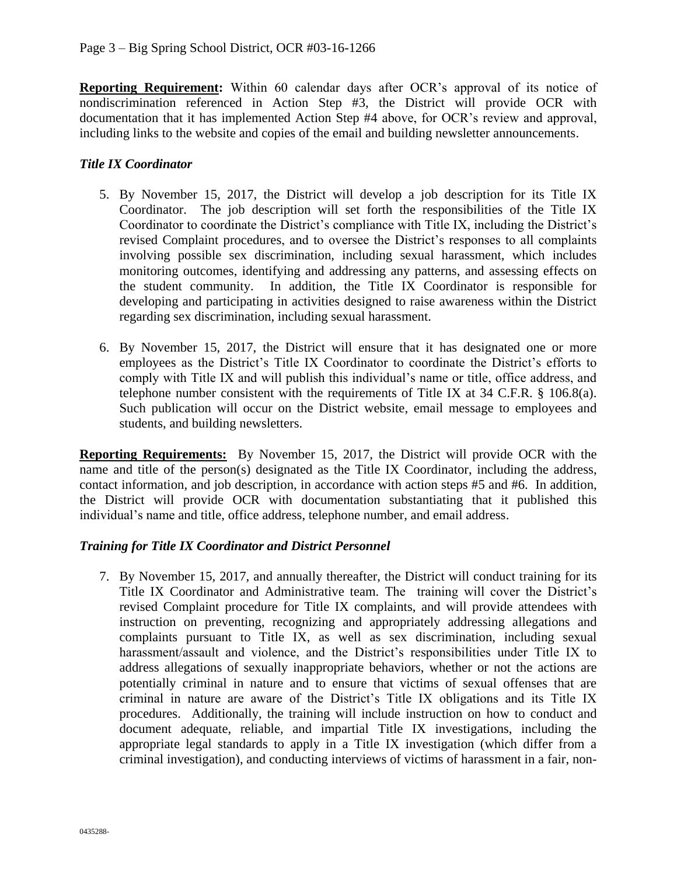**Reporting Requirement:** Within 60 calendar days after OCR's approval of its notice of nondiscrimination referenced in Action Step #3, the District will provide OCR with documentation that it has implemented Action Step #4 above, for OCR's review and approval, including links to the website and copies of the email and building newsletter announcements.

# *Title IX Coordinator*

- 5. By November 15, 2017, the District will develop a job description for its Title IX Coordinator. The job description will set forth the responsibilities of the Title IX Coordinator to coordinate the District's compliance with Title IX, including the District's revised Complaint procedures, and to oversee the District's responses to all complaints involving possible sex discrimination, including sexual harassment, which includes monitoring outcomes, identifying and addressing any patterns, and assessing effects on the student community. In addition, the Title IX Coordinator is responsible for developing and participating in activities designed to raise awareness within the District regarding sex discrimination, including sexual harassment.
- 6. By November 15, 2017, the District will ensure that it has designated one or more employees as the District's Title IX Coordinator to coordinate the District's efforts to comply with Title IX and will publish this individual's name or title, office address, and telephone number consistent with the requirements of Title IX at  $34$  C.F.R. § 106.8(a). Such publication will occur on the District website, email message to employees and students, and building newsletters.

**Reporting Requirements:** By November 15, 2017, the District will provide OCR with the name and title of the person(s) designated as the Title IX Coordinator, including the address, contact information, and job description, in accordance with action steps #5 and #6. In addition, the District will provide OCR with documentation substantiating that it published this individual's name and title, office address, telephone number, and email address.

# *Training for Title IX Coordinator and District Personnel*

7. By November 15, 2017, and annually thereafter, the District will conduct training for its Title IX Coordinator and Administrative team. The training will cover the District's revised Complaint procedure for Title IX complaints, and will provide attendees with instruction on preventing, recognizing and appropriately addressing allegations and complaints pursuant to Title IX, as well as sex discrimination, including sexual harassment/assault and violence, and the District's responsibilities under Title IX to address allegations of sexually inappropriate behaviors, whether or not the actions are potentially criminal in nature and to ensure that victims of sexual offenses that are criminal in nature are aware of the District's Title IX obligations and its Title IX procedures. Additionally, the training will include instruction on how to conduct and document adequate, reliable, and impartial Title IX investigations, including the appropriate legal standards to apply in a Title IX investigation (which differ from a criminal investigation), and conducting interviews of victims of harassment in a fair, non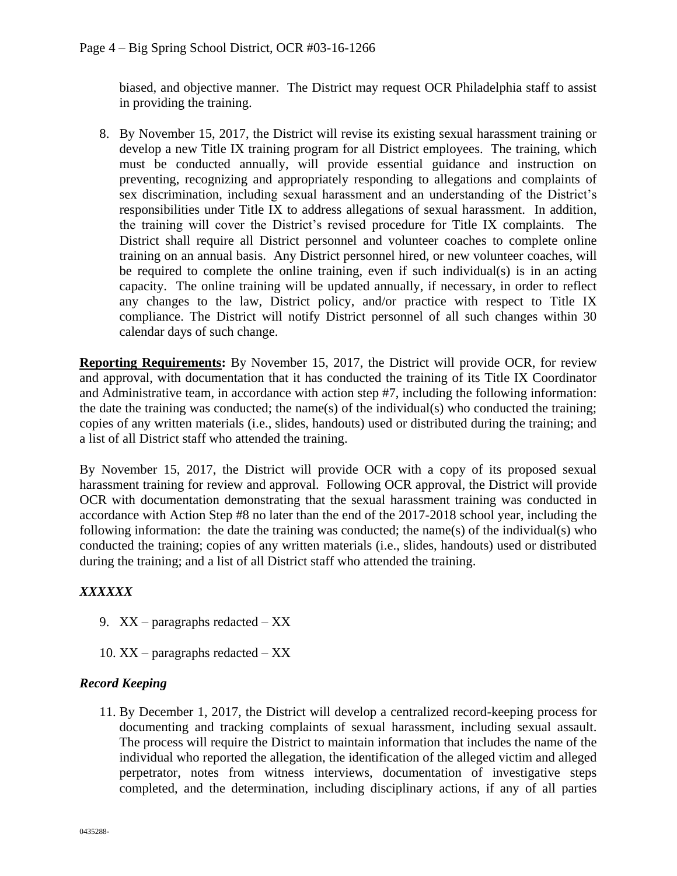biased, and objective manner. The District may request OCR Philadelphia staff to assist in providing the training.

8. By November 15, 2017, the District will revise its existing sexual harassment training or develop a new Title IX training program for all District employees. The training, which must be conducted annually, will provide essential guidance and instruction on preventing, recognizing and appropriately responding to allegations and complaints of sex discrimination, including sexual harassment and an understanding of the District's responsibilities under Title IX to address allegations of sexual harassment. In addition, the training will cover the District's revised procedure for Title IX complaints. The District shall require all District personnel and volunteer coaches to complete online training on an annual basis. Any District personnel hired, or new volunteer coaches, will be required to complete the online training, even if such individual(s) is in an acting capacity. The online training will be updated annually, if necessary, in order to reflect any changes to the law, District policy, and/or practice with respect to Title IX compliance. The District will notify District personnel of all such changes within 30 calendar days of such change.

**Reporting Requirements:** By November 15, 2017, the District will provide OCR, for review and approval, with documentation that it has conducted the training of its Title IX Coordinator and Administrative team, in accordance with action step #7, including the following information: the date the training was conducted; the name(s) of the individual(s) who conducted the training; copies of any written materials (i.e., slides, handouts) used or distributed during the training; and a list of all District staff who attended the training.

By November 15, 2017, the District will provide OCR with a copy of its proposed sexual harassment training for review and approval. Following OCR approval, the District will provide OCR with documentation demonstrating that the sexual harassment training was conducted in accordance with Action Step #8 no later than the end of the 2017-2018 school year, including the following information: the date the training was conducted; the name(s) of the individual(s) who conducted the training; copies of any written materials (i.e., slides, handouts) used or distributed during the training; and a list of all District staff who attended the training.

# *XXXXXX*

- 9.  $XX$  paragraphs redacted  $XX$
- 10.  $XX$  paragraphs redacted  $XX$

# *Record Keeping*

11. By December 1, 2017, the District will develop a centralized record-keeping process for documenting and tracking complaints of sexual harassment, including sexual assault. The process will require the District to maintain information that includes the name of the individual who reported the allegation, the identification of the alleged victim and alleged perpetrator, notes from witness interviews, documentation of investigative steps completed, and the determination, including disciplinary actions, if any of all parties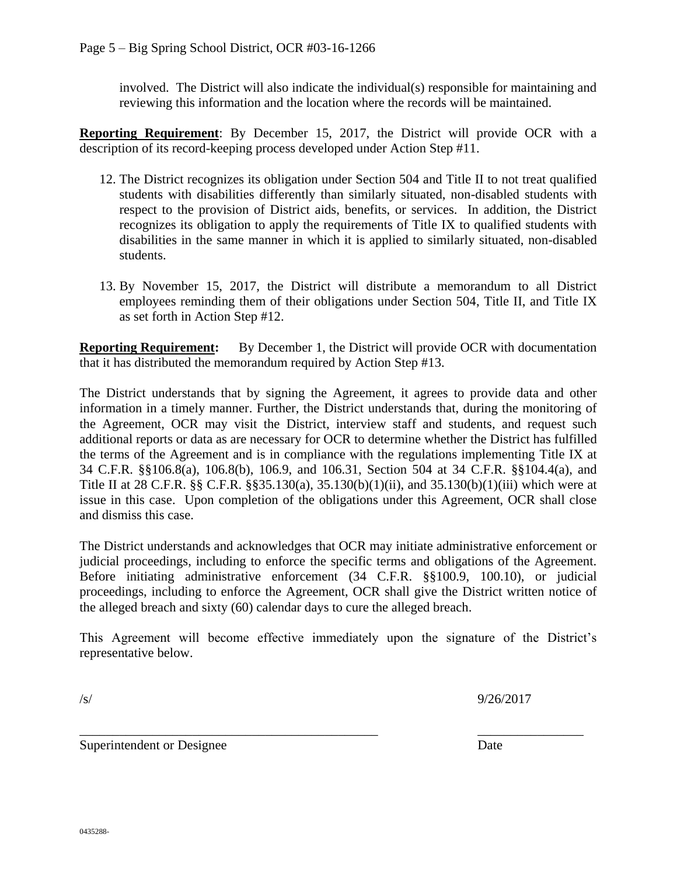involved. The District will also indicate the individual(s) responsible for maintaining and reviewing this information and the location where the records will be maintained.

**Reporting Requirement**: By December 15, 2017, the District will provide OCR with a description of its record-keeping process developed under Action Step #11.

- 12. The District recognizes its obligation under Section 504 and Title II to not treat qualified students with disabilities differently than similarly situated, non-disabled students with respect to the provision of District aids, benefits, or services. In addition, the District recognizes its obligation to apply the requirements of Title IX to qualified students with disabilities in the same manner in which it is applied to similarly situated, non-disabled students.
- 13. By November 15, 2017, the District will distribute a memorandum to all District employees reminding them of their obligations under Section 504, Title II, and Title IX as set forth in Action Step #12.

**Reporting Requirement:** By December 1, the District will provide OCR with documentation that it has distributed the memorandum required by Action Step #13.

The District understands that by signing the Agreement, it agrees to provide data and other information in a timely manner. Further, the District understands that, during the monitoring of the Agreement, OCR may visit the District, interview staff and students, and request such additional reports or data as are necessary for OCR to determine whether the District has fulfilled the terms of the Agreement and is in compliance with the regulations implementing Title IX at 34 C.F.R. §§106.8(a), 106.8(b), 106.9, and 106.31, Section 504 at 34 C.F.R. §§104.4(a), and Title II at 28 C.F.R. §§ C.F.R. §§35.130(a), 35.130(b)(1)(ii), and 35.130(b)(1)(iii) which were at issue in this case. Upon completion of the obligations under this Agreement, OCR shall close and dismiss this case.

The District understands and acknowledges that OCR may initiate administrative enforcement or judicial proceedings, including to enforce the specific terms and obligations of the Agreement. Before initiating administrative enforcement (34 C.F.R. §§100.9, 100.10), or judicial proceedings, including to enforce the Agreement, OCR shall give the District written notice of the alleged breach and sixty (60) calendar days to cure the alleged breach.

This Agreement will become effective immediately upon the signature of the District's representative below.

/s/ 9/26/2017

\_\_\_\_\_\_\_\_\_\_\_\_\_\_\_\_\_\_\_\_\_\_\_\_\_\_\_\_\_\_\_\_\_\_\_\_\_\_\_\_\_\_\_\_\_ \_\_\_\_\_\_\_\_\_\_\_\_\_\_\_\_ Superintendent or Designee Date